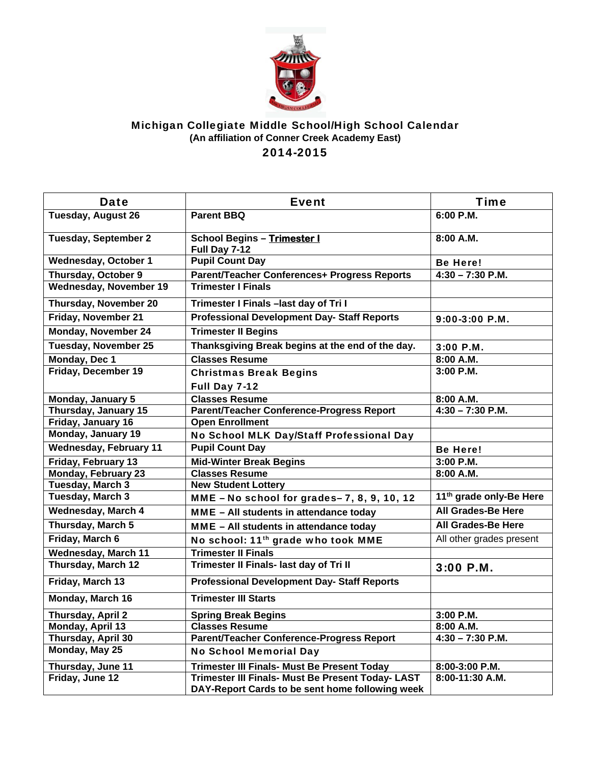

## Michigan Collegiate Middle School/High School Calendar **(An affiliation of Conner Creek Academy East)**  2014-2015

| <b>Date</b>                   | <b>Event</b>                                        | <b>Time</b>                         |
|-------------------------------|-----------------------------------------------------|-------------------------------------|
| <b>Tuesday, August 26</b>     | <b>Parent BBQ</b>                                   | 6:00 P.M.                           |
| <b>Tuesday, September 2</b>   | <b>School Begins - Trimester I</b><br>Full Day 7-12 | 8:00 A.M.                           |
| <b>Wednesday, October 1</b>   | <b>Pupil Count Day</b>                              | <b>Be Here!</b>                     |
| Thursday, October 9           | Parent/Teacher Conferences+ Progress Reports        | $4:30 - 7:30$ P.M.                  |
| Wednesday, November 19        | <b>Trimester I Finals</b>                           |                                     |
| Thursday, November 20         | Trimester I Finals - last day of Tri I              |                                     |
| Friday, November 21           | <b>Professional Development Day- Staff Reports</b>  | 9:00-3:00 P.M.                      |
| Monday, November 24           | <b>Trimester II Begins</b>                          |                                     |
| <b>Tuesday, November 25</b>   | Thanksgiving Break begins at the end of the day.    | 3:00 P.M.                           |
| Monday, Dec 1                 | <b>Classes Resume</b>                               | 8:00 A.M.                           |
| Friday, December 19           | <b>Christmas Break Begins</b>                       | 3:00 P.M.                           |
|                               | Full Day 7-12                                       |                                     |
| Monday, January 5             | <b>Classes Resume</b>                               | 8:00 A.M.                           |
| Thursday, January 15          | Parent/Teacher Conference-Progress Report           | $4:30 - 7:30$ P.M.                  |
| Friday, January 16            | <b>Open Enrollment</b>                              |                                     |
| Monday, January 19            | No School MLK Day/Staff Professional Day            |                                     |
| <b>Wednesday, February 11</b> | <b>Pupil Count Day</b>                              | <b>Be Here!</b>                     |
| Friday, February 13           | <b>Mid-Winter Break Begins</b>                      | 3:00 P.M.                           |
| <b>Monday, February 23</b>    | <b>Classes Resume</b>                               | 8:00 A.M.                           |
| <b>Tuesday, March 3</b>       | <b>New Student Lottery</b>                          |                                     |
| <b>Tuesday, March 3</b>       | MME - No school for grades- 7, 8, 9, 10, 12         | 11 <sup>th</sup> grade only-Be Here |
| <b>Wednesday, March 4</b>     | MME - All students in attendance today              | <b>All Grades-Be Here</b>           |
| Thursday, March 5             | MME - All students in attendance today              | <b>All Grades-Be Here</b>           |
| Friday, March 6               | No school: 11 <sup>th</sup> grade who took MME      | All other grades present            |
| <b>Wednesday, March 11</b>    | <b>Trimester II Finals</b>                          |                                     |
| Thursday, March 12            | Trimester II Finals- last day of Tri II             | 3:00 P.M.                           |
| Friday, March 13              | <b>Professional Development Day- Staff Reports</b>  |                                     |
| Monday, March 16              | <b>Trimester III Starts</b>                         |                                     |
| Thursday, April 2             | <b>Spring Break Begins</b>                          | 3:00 P.M.                           |
| Monday, April 13              | <b>Classes Resume</b>                               | 8:00 A.M.                           |
| Thursday, April 30            | <b>Parent/Teacher Conference-Progress Report</b>    | $4:30 - 7:30$ P.M.                  |
| Monday, May 25                | <b>No School Memorial Day</b>                       |                                     |
| Thursday, June 11             | Trimester III Finals- Must Be Present Today         | 8:00-3:00 P.M.                      |
| Friday, June 12               | Trimester III Finals- Must Be Present Today- LAST   | 8:00-11:30 A.M.                     |
|                               | DAY-Report Cards to be sent home following week     |                                     |